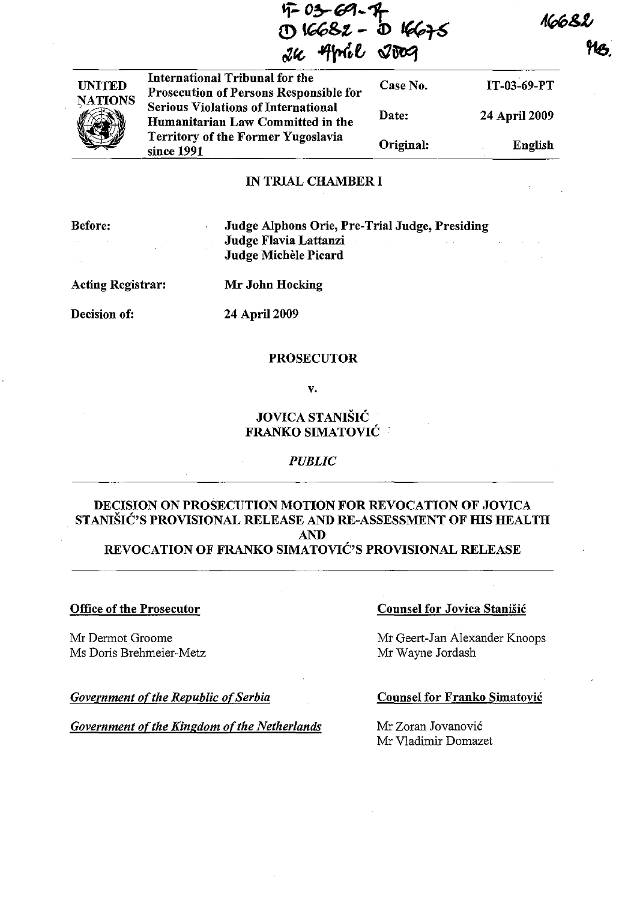7-0<del>3</del>-09-7<del>r</del> **(!) t"'g.,t - a:>** *,",T6*  $rac{1}{2}u$  and  $rac{1}{2}uv$ 

1668

1T-03-69-PT

24 April 2009

English

| <b>UNITED</b><br><b>NATIONS</b> | International Tribunal for the<br><b>Prosecution of Persons Responsible for</b> | Case No.  |
|---------------------------------|---------------------------------------------------------------------------------|-----------|
|                                 | <b>Serious Violations of International</b><br>Humanitarian Law Committed in the | Date:     |
|                                 | <b>Territory of the Former Yugoslavia</b><br>since 1991                         | Original: |

### IN TRIAL CHAMBER I

| <b>Before:</b><br><b>Service</b> | Judge Alphons Orie, Pre-Trial Judge, Presiding<br>Judge Flavia Lattanzi<br>Judge Michèle Picard |
|----------------------------------|-------------------------------------------------------------------------------------------------|
| Acting Registrar:                | Mr John Hocking                                                                                 |

Decision of: 24 April 2009

### PROSECUTOR

v.

# JOVICA STANISIC FRANKO SIMATOVIC

# *PUBLIC*

# DECISION ON PROSECUTION MOTION FOR REVOCATION OF JOVICA STANISIC'S PROVISIONAL RELEASE AND RE-ASSESSMENT OF HIS HEALTH AND

# REVOCATION OF FRANKO SIMATOVIC'S PROVISIONAL RELEASE

# Office of the Prosecutor

Mr Dermot Groome Ms Doris Brehmeier-Metz

**Government of the Republic of Serbia** 

*Government of the Kingdom of the Netherlands* 

# Counsel for Jovica Stanišić

Mr Geert-Jan Alexander Knoops Mr Wayne Jordash

### Counsel for Franko Simatovic

Mr Zoran Jovanovic Mr Vladimir Domazet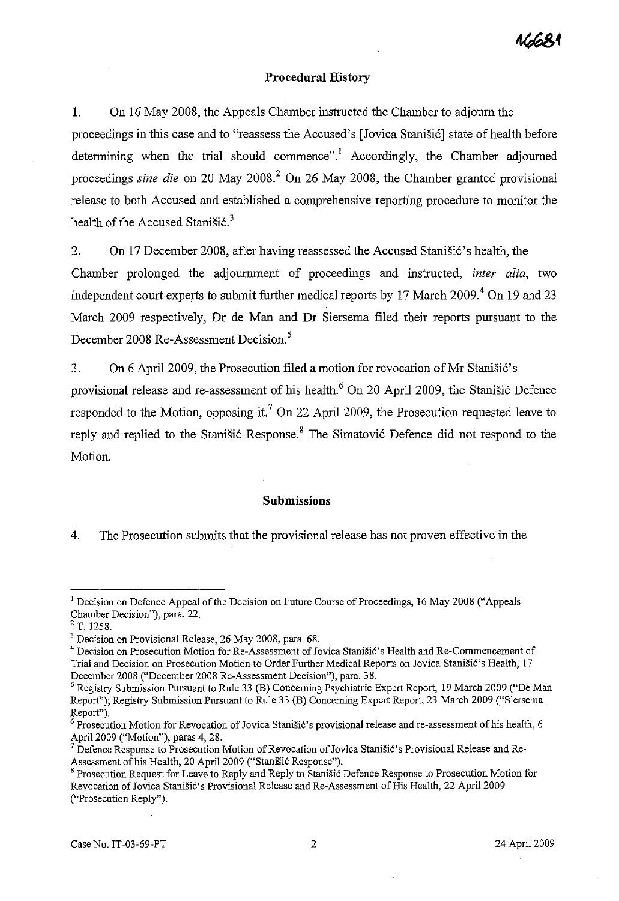# **Procedural History**

1. On 16 May 2008, the Appeals Chamber instructed the Chamber to adjourn the proceedings in this case and to "reassess the Accused's [Jovica Stanišić] state of health before determining when the trial should commence".<sup>1</sup> Accordingly, the Chamber adjourned proceedings *sine die* on 20 May 2008? On 26 May 2008, the Chamber granted provisional release to both Accused and established a comprehensive reporting procedure to monitor the health of the Accused Stanisic.<sup>3</sup>

2. On 17 December 2008, after having reassessed the Accused Stanistic's health, the

Chamber prolonged the adjournment of proceedings and instructed, *inter alia,* two independent court experts to submit further medical reports by 17 March 2009.<sup>4</sup> On 19 and 23 March 2009 respectively, Dr de Man and Dr Siersema filed their reports pursuant to the December 2008 Re-Assessment Decision.<sup>5</sup>

3. On 6 April 2009, the Prosecution filed a motion for revocation of Mr Stanišić's provisional release and re-assessment of his health. $6$  On 20 April 2009, the Stanisic Defence responded to the Motion, opposing it.<sup>7</sup> On 22 April 2009, the Prosecution requested leave to reply and replied to the Stanišić Response.<sup>8</sup> The Simatović Defence did not respond to the Motion.

#### **Submissions**

4. The Prosecution submits that the provisional release has not proven effective in the

<sup>&</sup>lt;sup>1</sup> Decision on Defence Appeal of the Decision on Future Course of Proceedings, 16 May 2008 ("Appeals" Chamber Decision"), para. 22.

 $2$  T. 1258.

<sup>3</sup> Decision on Provisional Release, 26 May 2008, para. 68.

<sup>4</sup> Decision on Prosecution Motion for Re-Assessment of Jovica Stanisic's Health and Re-Commencement of Trial and Decision on Prosecution Motion to Order Further Medical Reports on Jovica StaniSic's Health, 17 December 2008 ("December 2008 Re-Assessment Decision"), para. 38.

<sup>&</sup>lt;sup>5</sup> Registry Submission Pursuant to Rule 33 (B) Concerning Psychiatric Expert Report, 19 March 2009 ("De Man Report"); Registry Submission Pursuant to Rule 33 (B) Concerning Expert Report, 23 March 2009 ("Siersema Report").

<sup>&</sup>lt;sup>6</sup> Prosecution Motion for Revocation of Jovica Stanišić's provisional release and re-assessment of his health, 6 April 2009 ("Motion"), paras 4, 28.

 $^7$  Defence Response to Prosecution Motion of Revocation of Jovica Stanišić's Provisional Release and Re-Assessment of his Health, 20 April 2009 ("StaniSic Response").

<sup>8</sup> Prosecution Request for Leave to Reply and Reply to Stanisic Defence Response to Prosecution Motion for Revocation of Jovica Stanisic's Provisional Release and Re-Assessment of His Health, 22 April 2009 ("Prosecution Reply").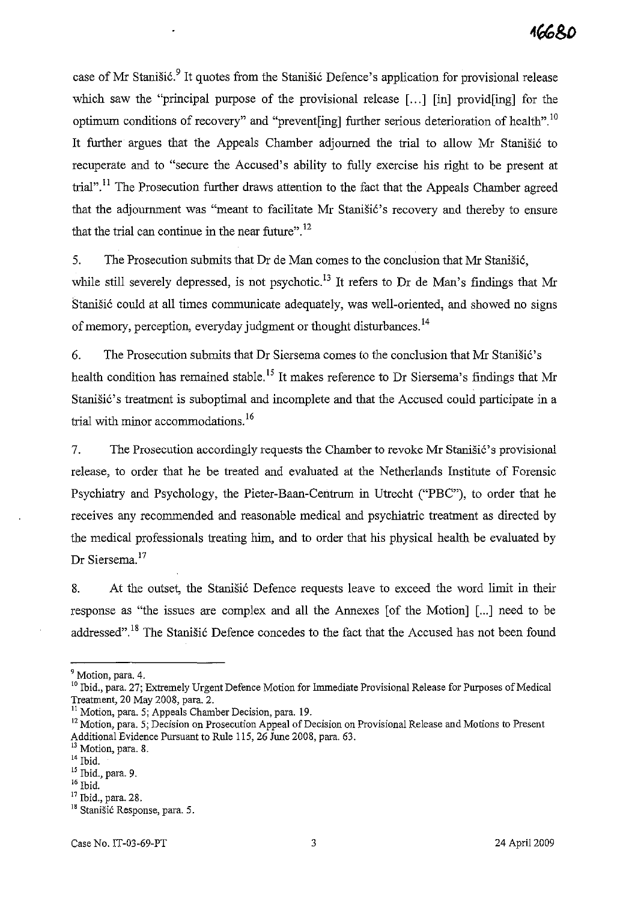case of Mr Stanišić.<sup>9</sup> It quotes from the Stanišić Defence's application for provisional release which saw the "principal purpose of the provisional release [...] [in] provid[ing] for the optimum conditions of recovery" and "prevent[ing] further serious deterioration of health".<sup>10</sup> It further argues that the Appeals Chamber adjourned the trial to allow Mr Stanisic to recuperate and to "secure the Accused's ability to fully exercise his right to be present at trial".<sup>11</sup> The Prosecution further draws attention to the fact that the Appeals Chamber agreed that the adjournment was "meant to facilitate Mr Stanišić's recovery and thereby to ensure that the trial can continue in the near future".<sup>12</sup>

5. The Prosecution submits that Dr de Man comes to the conclusion that Mr Stanistic, while still severely depressed, is not psychotic.<sup>13</sup> It refers to Dr de Man's findings that Mr Stanišić could at all times communicate adequately, was well-oriented, and showed no signs of memory, perception, everyday judgment or thought disturbances.<sup>14</sup>

6. The Prosecution submits that Dr Siersema comes to the conclusion that Mr Stanišić's health condition has remained stable.<sup>15</sup> It makes reference to Dr Siersema's findings that Mr Stanišić's treatment is suboptimal and incomplete and that the Accused could participate in a trial with minor accommodations.<sup>16</sup>

7. The Prosecution accordingly requests the Chamber to revoke Mr Stanišić's provisional release, to order that he be treated and evaluated at the Netherlands Institute of Forensic Psychiatry and Psychology, the Pieter-Baan-Centrum in Utrecht ("PBC"), to order that he receives any recommended and reasonable medical and psychiatric treatment as directed by the medical professionals treating him, and to order that his physical health be evaluated by Dr Siersema.<sup>17</sup>

8. At the outset, the Stanisic Defence requests leave to exceed the word limit in their response as "the issues are complex and all the Annexes [of the Motion] [...] need to be addressed".<sup>18</sup> The Stanišić Defence concedes to the fact that the Accused has not been found

<sup>9</sup>**Motion, para. 4.** 

<sup>&</sup>lt;sup>10</sup> Ibid., para. 27; Extremely Urgent Defence Motion for Immediate Provisional Release for Purposes of Medical Treatment, 20 May 2008, para. 2.

<sup>&</sup>lt;sup>11</sup> Motion, para. 5; Appeals Chamber Decision, para. 19.

<sup>&</sup>lt;sup>12</sup> Motion, para. 5; Decision on Prosecution Appeal of Decision on Provisional Release and Motions to Present Additional Evidence Pursuant to Rule 115, 26 June 2008, para. 63.

**<sup>13</sup>Motion, para. 8.** 

 $14$  Ibid.

<sup>15</sup> Ibid., para. 9.

 $^{\rm 16}$  Ibid.

<sup>&</sup>lt;sup>17</sup> Ibid., para. 28.

<sup>&</sup>lt;sup>18</sup> Stanišić Response, para. 5.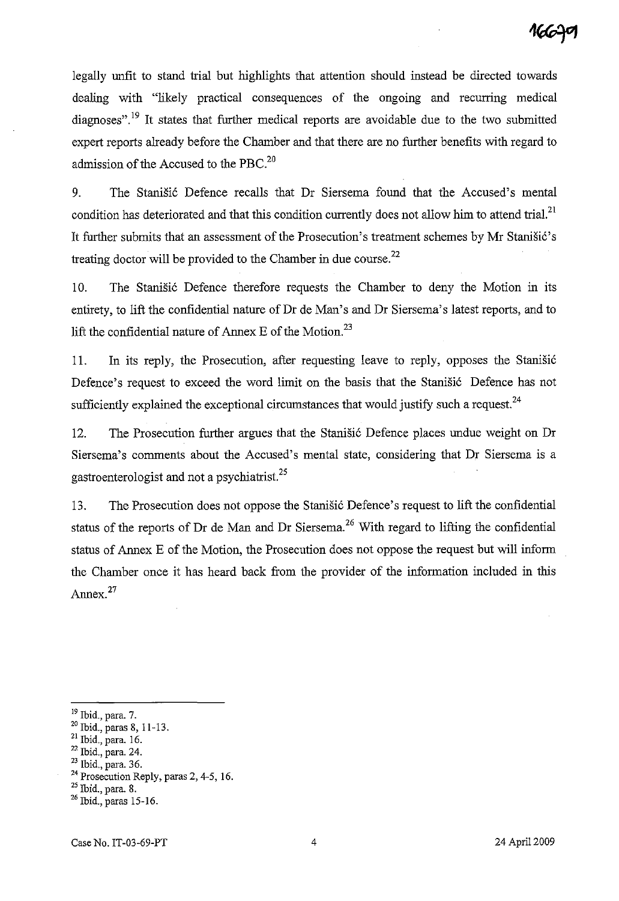legally unfit to stand trial but highlights that attention should instead be directed towards dealing with "likely practical consequences of the ongoing and recurring medical diagnoses".<sup>19</sup> It states that further medical reports are avoidable due to the two submitted expert reports already before the Chamber and that there are no further benefits with regard to admission of the Accused to the PBC. $^{20}$ 

9. The Stanišić Defence recalls that Dr Siersema found that the Accused's mental condition has deteriorated and that this condition currently does not allow him to attend trial.<sup>21</sup> It further submits that an assessment of the Prosecution's treatment schemes by Mr Stanišić's treating doctor will be provided to the Chamber in due course.<sup>22</sup>

10. The Stanišić Defence therefore requests the Chamber to deny the Motion in its entirety, to lift the confidential nature of Dr de Man's and Dr Siersema's latest reports, and to lift the confidential nature of Annex E of the Motion.<sup>23</sup>

11. In its reply, the Prosecution, after requesting leave to reply, opposes the Stanisić Defence's request to exceed the word limit on the basis that the Stanišić Defence has not sufficiently explained the exceptional circumstances that would justify such a request. $^{24}$ 

12. The Prosecution further argues that the Stanisic Defence places undue weight on Dr Siersema's comments about the Accused's mental state, considering that Dr Siersema is a gastroenterologist and not a psychiatrist.<sup>25</sup>

13. The Prosecution does not oppose the Stanišić Defence's request to lift the confidential status of the reports of Dr de Man and Dr Siersema.<sup>26</sup> With regard to lifting the confidential status of Annex E of the Motion, the Prosecution does not oppose the request but will inform the Chamber once it has heard back from the provider of the information included in this Annex.<sup>27</sup>

<sup>19</sup> Ibid., para. 7.

<sup>20</sup> Ibid., paras 8,11-13.

<sup>21</sup> Ibid., para. 16.

 $22$  Ibid., para. 24.

<sup>23</sup> Ibid., para. 36.

<sup>&</sup>lt;sup>24</sup> Prosecution Reply, paras 2, 4-5, 16.

<sup>25</sup> Ibid., para. 8.

<sup>&</sup>lt;sup>26</sup> Ibid., paras 15-16.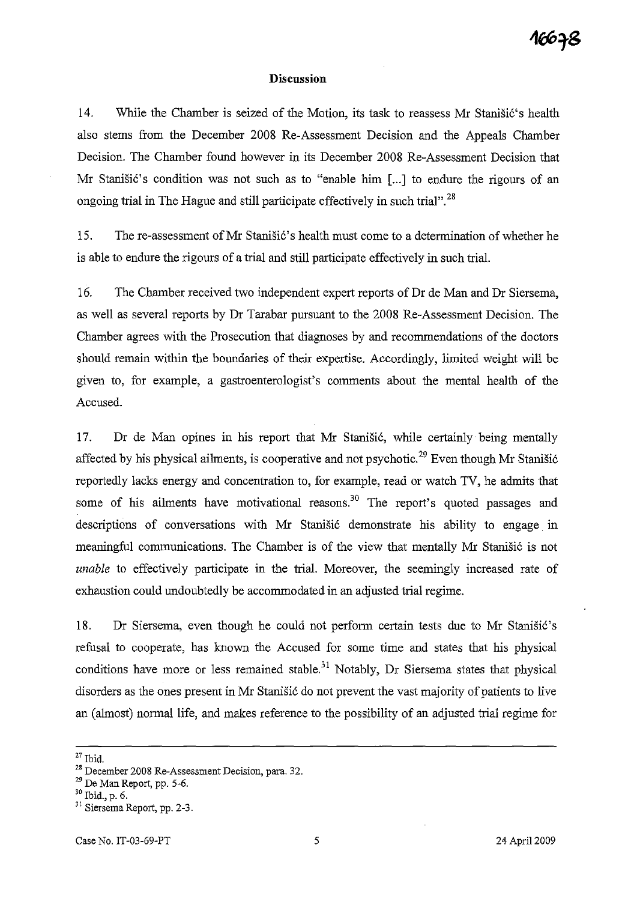### **Discussion**

14. While the Chamber is seized of the Motion, its task to reassess Mr Stanišić's health also stems from the December 2008 Re-Assessment Decision and the Appeals Chamber Decision. The Chamber found however in its December 2008 Re-Assessment Decision that Mr Stanišić's condition was not such as to "enable him [...] to endure the rigours of an ongoing trial in The Hague and still participate effectively in such trial".<sup>28</sup>

15. The re-assessment of Mr Stanišić's health must come to a determination of whether he is able to endure the rigours of a trial and still participate effectively in such trial.

16. The Chamber received two independent expert reports of Dr de Man and Dr Siersema, as well as several reports by Dr Tarabar pursuant to the 2008 Re-Assessment Decision. The Chamber agrees with the Prosecution that diagnoses by and recommendations of the doctors should remain within the boundaries of their expertise. Accordingly, limited weight will be given to, for example, a gastroenterologist's comments about the mental health of the Accused.

17. Dr de Man opines in his report that Mr Stanišić, while certainly being mentally affected by his physical ailments, is cooperative and not psychotic.<sup>29</sup> Even though Mr Stanišić reportedly lacks energy and concentration to, for example, read or watch TV, he admits that some of his ailments have motivational reasons.<sup>30</sup> The report's quoted passages and descriptions of conversations with Mr Stanišić demonstrate his ability to engage in meaningful communications. The Chamber is of the view that mentally Mr Stanisić is not *unable* to effectively participate in the trial. Moreover, the seemingly increased rate of exhaustion could undoubtedly be accommodated in an adjusted trial regime.

18. Dr Siersema, even though he could not perform certain tests due to Mr Stanišić's refusal to cooperate, has known the Accused for some time and states that his physical conditions have more or less remained stable.<sup>31</sup> Notably, Dr Siersema states that physical disorders as the ones present in Mr Stanišić do not prevent the vast majority of patients to live an (almost) normal life, and makes reference to the possibility of an adjusted trial regime for

 $27$  Tbid.

<sup>28</sup> December 2008 Re-Assessment Decision, para. 32.

<sup>29</sup> De Man Report, pp. 5-6.

<sup>30</sup> Ibid., p. 6.

<sup>31</sup> Siersema Report, pp. 2-3.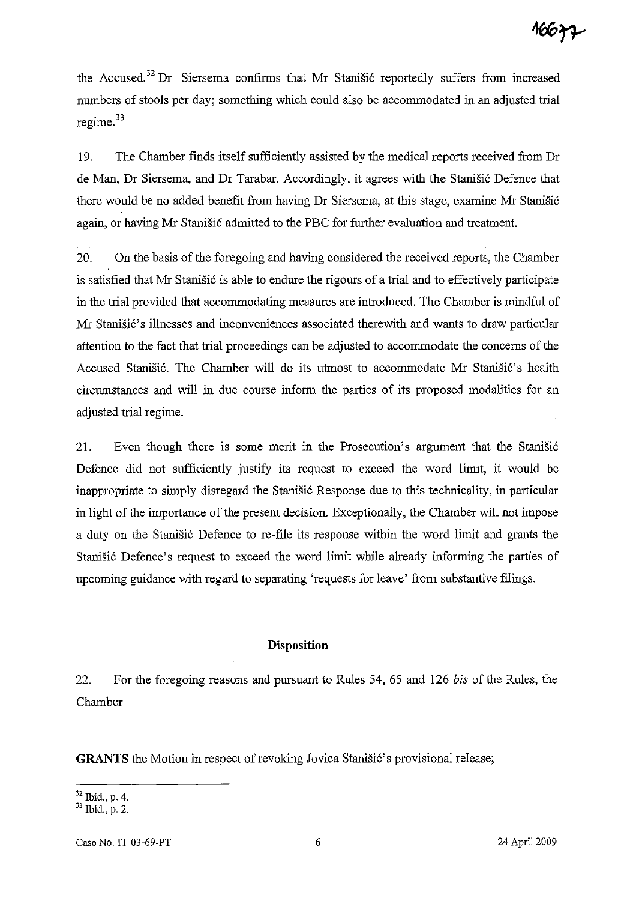the Accused.<sup>32</sup> Dr Siersema confirms that Mr Stanišić reportedly suffers from increased numbers of stools per day; something which could also be accommodated in an adjusted trial  $regime.<sup>33</sup>$ 

19. The Chamber finds itself sufficiently assisted by the medical reports received from Dr de Man, Dr Siersema, and Dr Tarabar. Accordingly, it agrees with the Stanišić Defence that there would be no added benefit from having Dr Siersema, at this stage, examine Mr Stanišić again, or having Mr Stanisic admitted to the PBC for further evaluation and treatment.

20. On the basis of the foregoing and having considered the received reports, the Chamber is satisfied that Mr Stanisić is able to endure the rigours of a trial and to effectively participate in the trial provided that accommodating measures are introduced. The Chamber is mindful of Mr Stanišić's illnesses and inconveniences associated therewith and wants to draw particular attention to the fact that trial proceedings can be adjusted to accommodate the concerns of the Accused Stanišić. The Chamber will do its utmost to accommodate Mr Stanišić's health circumstances and will in due course inform the parties of its proposed modalities for an adjusted trial regime.

21. Even though there is some merit in the Prosecution's argument that the Stanistic Defence did not sufficiently justify its request to exceed the word limit, it would be inappropriate to simply disregard the Stanišić Response due to this technicality, in particular in light of the importance of the present decision. Exceptionally, the Chamber will not impose a duty on the Stanišić Defence to re-file its response within the word limit and grants the Stanišić Defence's request to exceed the word limit while already informing the parties of upcoming guidance with regard to separating 'requests for leave' from substantive filings.

# **Disposition**

22. For the foregoing reasons and pursuant to Rules 54, 65 and 126 *his* of the Rules, the Chamber

**GRANTS** the Motion in respect of revoking Jovica Stanišić's provisional release;

<sup>32</sup> Ibid., p. 4.

<sup>33</sup> Ibid., p. 2.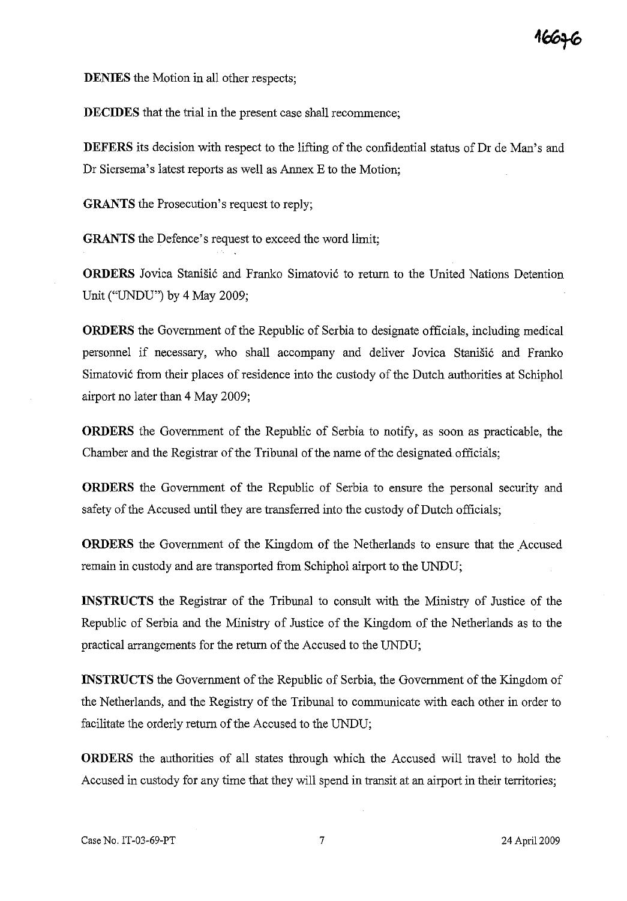**DECIDES** that the trial in the present case shall recommence;

**DEFERS** its decision with respect to the lifting of the confidential status of Dr de Man's and Dr Siersema's latest reports as well as Annex E to the Motion;

**GRANTS** the Prosecution's request to reply;

**GRANTS** the Defence's request to exceed the word limit;

**ORDERS** Jovica Stanišić and Franko Simatović to return to the United Nations Detention Unit ("UNDU") by 4 May 2009;

**ORDERS** the Government of the Republic of Serbia to designate officials, including medical personnel if necessary, who shall accompany and deliver Jovica Stanišić and Franko Simatović from their places of residence into the custody of the Dutch authorities at Schiphol airport no later than 4 May 2009;

**ORDERS** the Government of the Republic of Serbia to notify, as soon as practicable, the Chamber and the Registrar of the Tribunal of the name of the designated. officials;

**ORDERS** the Government of the Republic of Serbia to ensure the personal security and safety of the Accused until they are transferred into the custody of Dutch officials;

**ORDERS** the Government of the Kingdom of the Netherlands to ensure that the Accused remain in custody and are transported from Schiphol airport to the UNDU;

**INSTRUCTS** the Registrar of the Tribunal to consult with the Ministry of Justice of the Republic of Serbia and the Ministry of Justice of the Kingdom of the Netherlands as to the practical arrangements for the return of the Accused to the UNDU;

**INSTRUCTS** the Government of the Republic of Serbia, the Government of the Kingdom of the Netherlands, and the Registry of the Tribunal to communicate with each other in order to facilitate the orderly return of the Accused to the UNDU;

**ORDERS** the authorities of all states through which the Accused will travel to hold the Accused in custody for any time that they will spend in transit at an airport in their territories;

16676